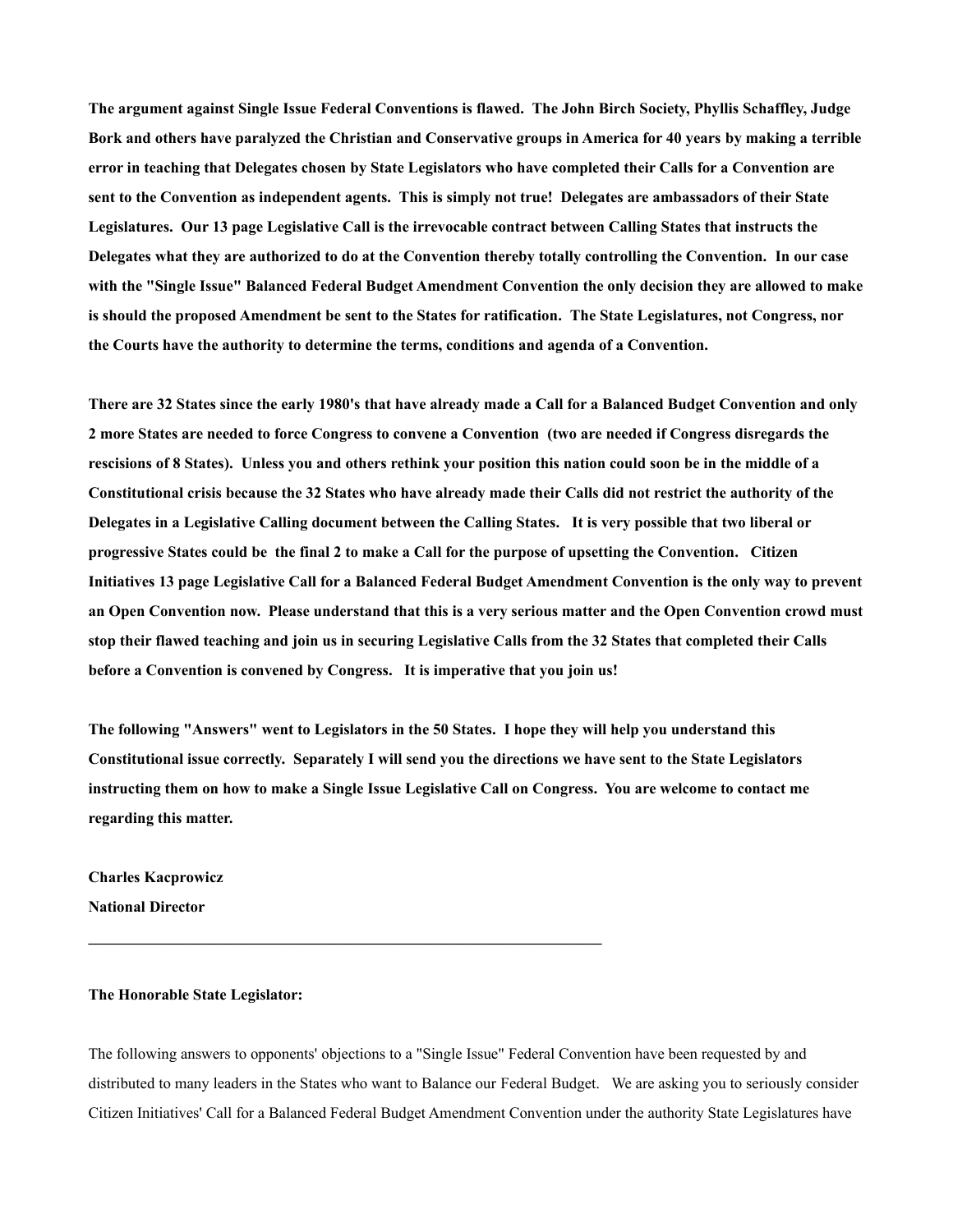**The argument against Single Issue Federal Conventions is flawed. The John Birch Society, Phyllis Schaffley, Judge Bork and others have paralyzed the Christian and Conservative groups in America for 40 years by making a terrible error in teaching that Delegates chosen by State Legislators who have completed their Calls for a Convention are sent to the Convention as independent agents. This is simply not true! Delegates are ambassadors of their State Legislatures. Our 13 page Legislative Call is the irrevocable contract between Calling States that instructs the Delegates what they are authorized to do at the Convention thereby totally controlling the Convention. In our case with the "Single Issue" Balanced Federal Budget Amendment Convention the only decision they are allowed to make is should the proposed Amendment be sent to the States for ratification. The State Legislatures, not Congress, nor the Courts have the authority to determine the terms, conditions and agenda of a Convention.**

**There are 32 States since the early 1980's that have already made a Call for a Balanced Budget Convention and only 2 more States are needed to force Congress to convene a Convention (two are needed if Congress disregards the rescisions of 8 States). Unless you and others rethink your position this nation could soon be in the middle of a Constitutional crisis because the 32 States who have already made their Calls did not restrict the authority of the Delegates in a Legislative Calling document between the Calling States. It is very possible that two liberal or progressive States could be the final 2 to make a Call for the purpose of upsetting the Convention. Citizen Initiatives 13 page Legislative Call for a Balanced Federal Budget Amendment Convention is the only way to prevent an Open Convention now. Please understand that this is a very serious matter and the Open Convention crowd must stop their flawed teaching and join us in securing Legislative Calls from the 32 States that completed their Calls before a Convention is convened by Congress. It is imperative that you join us!**

**The following "Answers" went to Legislators in the 50 States. I hope they will help you understand this Constitutional issue correctly. Separately I will send you the directions we have sent to the State Legislators instructing them on how to make a Single Issue Legislative Call on Congress. You are welcome to contact me regarding this matter.**

**Charles Kacprowicz National Director**

## **The Honorable State Legislator:**

The following answers to opponents' objections to a "Single Issue" Federal Convention have been requested by and distributed to many leaders in the States who want to Balance our Federal Budget. We are asking you to seriously consider Citizen Initiatives' Call for a Balanced Federal Budget Amendment Convention under the authority State Legislatures have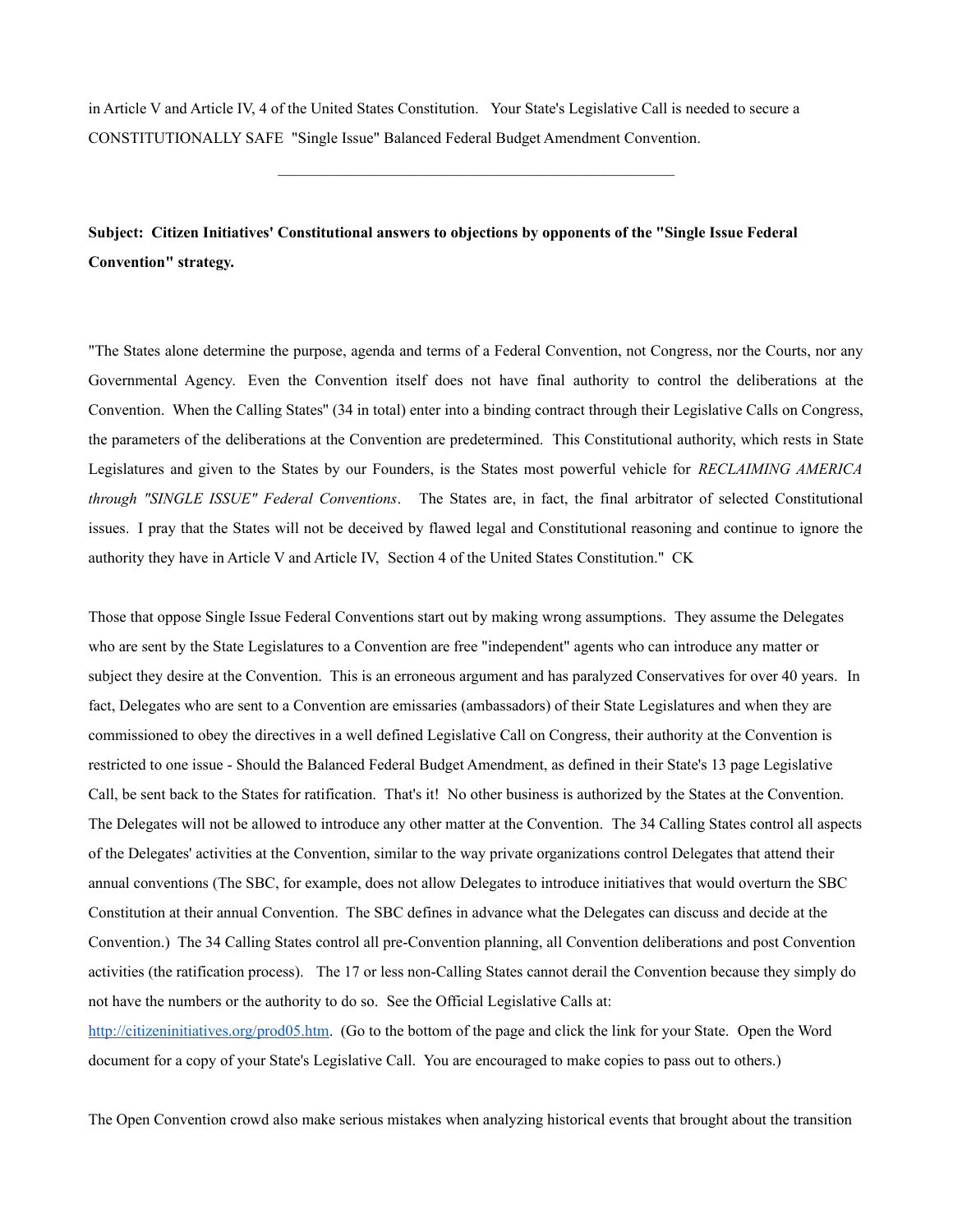in Article V and Article IV, 4 of the United States Constitution. Your State's Legislative Call is needed to secure a CONSTITUTIONALLY SAFE "Single Issue" Balanced Federal Budget Amendment Convention.

 $\mathcal{L}_\text{max}$  and  $\mathcal{L}_\text{max}$  and  $\mathcal{L}_\text{max}$  and  $\mathcal{L}_\text{max}$  and  $\mathcal{L}_\text{max}$ 

**Subject: Citizen Initiatives' Constitutional answers to objections by opponents of the "Single Issue Federal Convention" strategy.**

"The States alone determine the purpose, agenda and terms of a Federal Convention, not Congress, nor the Courts, nor any Governmental Agency. Even the Convention itself does not have final authority to control the deliberations at the Convention. When the Calling States'' (34 in total) enter into a binding contract through their Legislative Calls on Congress, the parameters of the deliberations at the Convention are predetermined. This Constitutional authority, which rests in State Legislatures and given to the States by our Founders, is the States most powerful vehicle for *RECLAIMING AMERICA through "SINGLE ISSUE" Federal Conventions*. The States are, in fact, the final arbitrator of selected Constitutional issues. I pray that the States will not be deceived by flawed legal and Constitutional reasoning and continue to ignore the authority they have in Article V and Article IV, Section 4 of the United States Constitution." CK

Those that oppose Single Issue Federal Conventions start out by making wrong assumptions. They assume the Delegates who are sent by the State Legislatures to a Convention are free "independent" agents who can introduce any matter or subject they desire at the Convention. This is an erroneous argument and has paralyzed Conservatives for over 40 years. In fact, Delegates who are sent to a Convention are emissaries (ambassadors) of their State Legislatures and when they are commissioned to obey the directives in a well defined Legislative Call on Congress, their authority at the Convention is restricted to one issue - Should the Balanced Federal Budget Amendment, as defined in their State's 13 page Legislative Call, be sent back to the States for ratification. That's it! No other business is authorized by the States at the Convention. The Delegates will not be allowed to introduce any other matter at the Convention. The 34 Calling States control all aspects of the Delegates' activities at the Convention, similar to the way private organizations control Delegates that attend their annual conventions (The SBC, for example, does not allow Delegates to introduce initiatives that would overturn the SBC Constitution at their annual Convention. The SBC defines in advance what the Delegates can discuss and decide at the Convention.) The 34 Calling States control all pre-Convention planning, all Convention deliberations and post Convention activities (the ratification process). The 17 or less non-Calling States cannot derail the Convention because they simply do not have the numbers or the authority to do so. See the Official Legislative Calls at: [http://citizeninitiatives.org/prod05.htm.](http://citizeninitiatives.org/prod05.htm) (Go to the bottom of the page and click the link for your State. Open the Word

document for a copy of your State's Legislative Call. You are encouraged to make copies to pass out to others.)

The Open Convention crowd also make serious mistakes when analyzing historical events that brought about the transition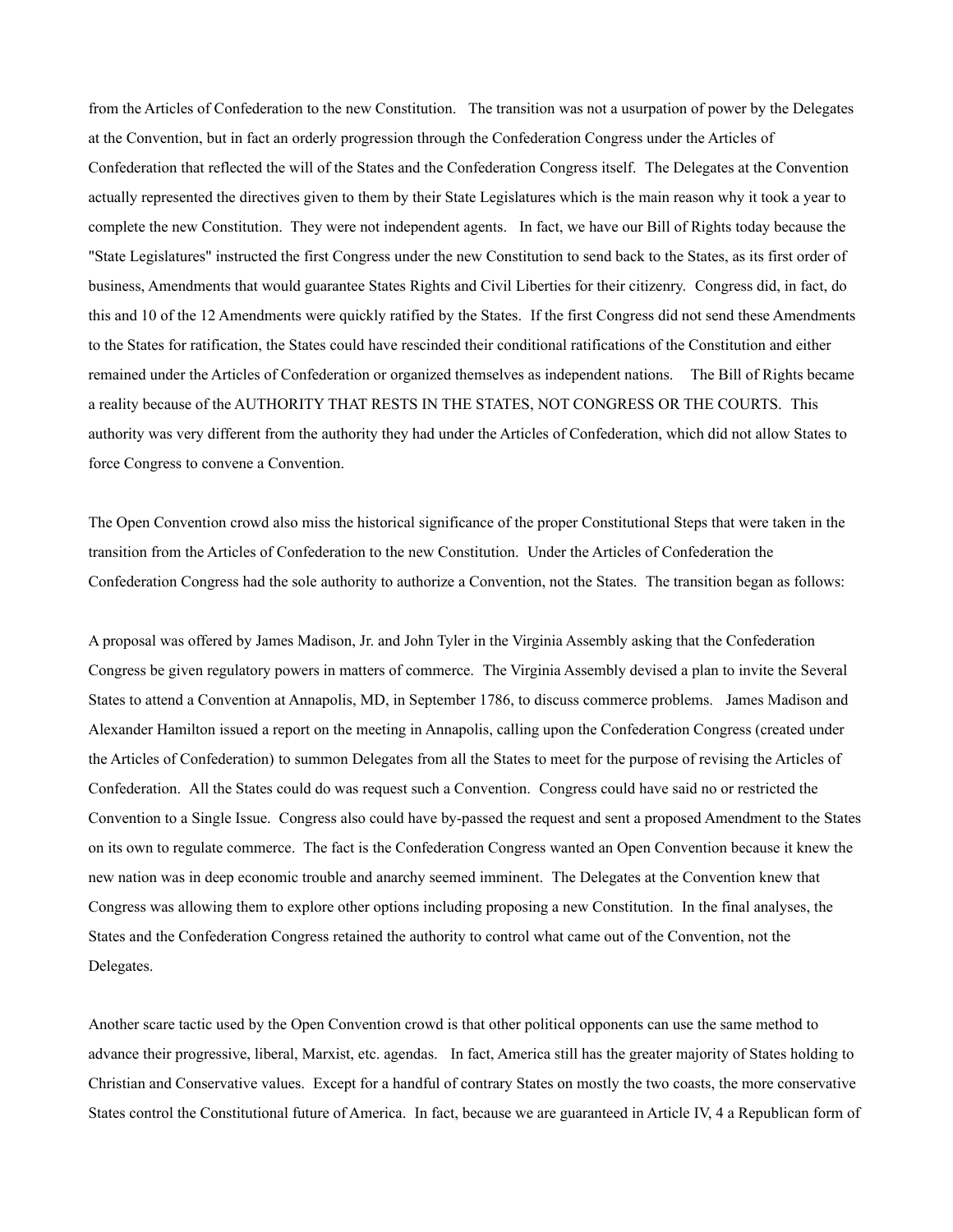from the Articles of Confederation to the new Constitution. The transition was not a usurpation of power by the Delegates at the Convention, but in fact an orderly progression through the Confederation Congress under the Articles of Confederation that reflected the will of the States and the Confederation Congress itself. The Delegates at the Convention actually represented the directives given to them by their State Legislatures which is the main reason why it took a year to complete the new Constitution. They were not independent agents. In fact, we have our Bill of Rights today because the "State Legislatures" instructed the first Congress under the new Constitution to send back to the States, as its first order of business, Amendments that would guarantee States Rights and Civil Liberties for their citizenry. Congress did, in fact, do this and 10 of the 12 Amendments were quickly ratified by the States. If the first Congress did not send these Amendments to the States for ratification, the States could have rescinded their conditional ratifications of the Constitution and either remained under the Articles of Confederation or organized themselves as independent nations. The Bill of Rights became a reality because of the AUTHORITY THAT RESTS IN THE STATES, NOT CONGRESS OR THE COURTS. This authority was very different from the authority they had under the Articles of Confederation, which did not allow States to force Congress to convene a Convention.

The Open Convention crowd also miss the historical significance of the proper Constitutional Steps that were taken in the transition from the Articles of Confederation to the new Constitution. Under the Articles of Confederation the Confederation Congress had the sole authority to authorize a Convention, not the States. The transition began as follows:

A proposal was offered by James Madison, Jr. and John Tyler in the Virginia Assembly asking that the Confederation Congress be given regulatory powers in matters of commerce. The Virginia Assembly devised a plan to invite the Several States to attend a Convention at Annapolis, MD, in September 1786, to discuss commerce problems. James Madison and Alexander Hamilton issued a report on the meeting in Annapolis, calling upon the Confederation Congress (created under the Articles of Confederation) to summon Delegates from all the States to meet for the purpose of revising the Articles of Confederation. All the States could do was request such a Convention. Congress could have said no or restricted the Convention to a Single Issue. Congress also could have by-passed the request and sent a proposed Amendment to the States on its own to regulate commerce. The fact is the Confederation Congress wanted an Open Convention because it knew the new nation was in deep economic trouble and anarchy seemed imminent. The Delegates at the Convention knew that Congress was allowing them to explore other options including proposing a new Constitution. In the final analyses, the States and the Confederation Congress retained the authority to control what came out of the Convention, not the Delegates.

Another scare tactic used by the Open Convention crowd is that other political opponents can use the same method to advance their progressive, liberal, Marxist, etc. agendas. In fact, America still has the greater majority of States holding to Christian and Conservative values. Except for a handful of contrary States on mostly the two coasts, the more conservative States control the Constitutional future of America. In fact, because we are guaranteed in Article IV, 4 a Republican form of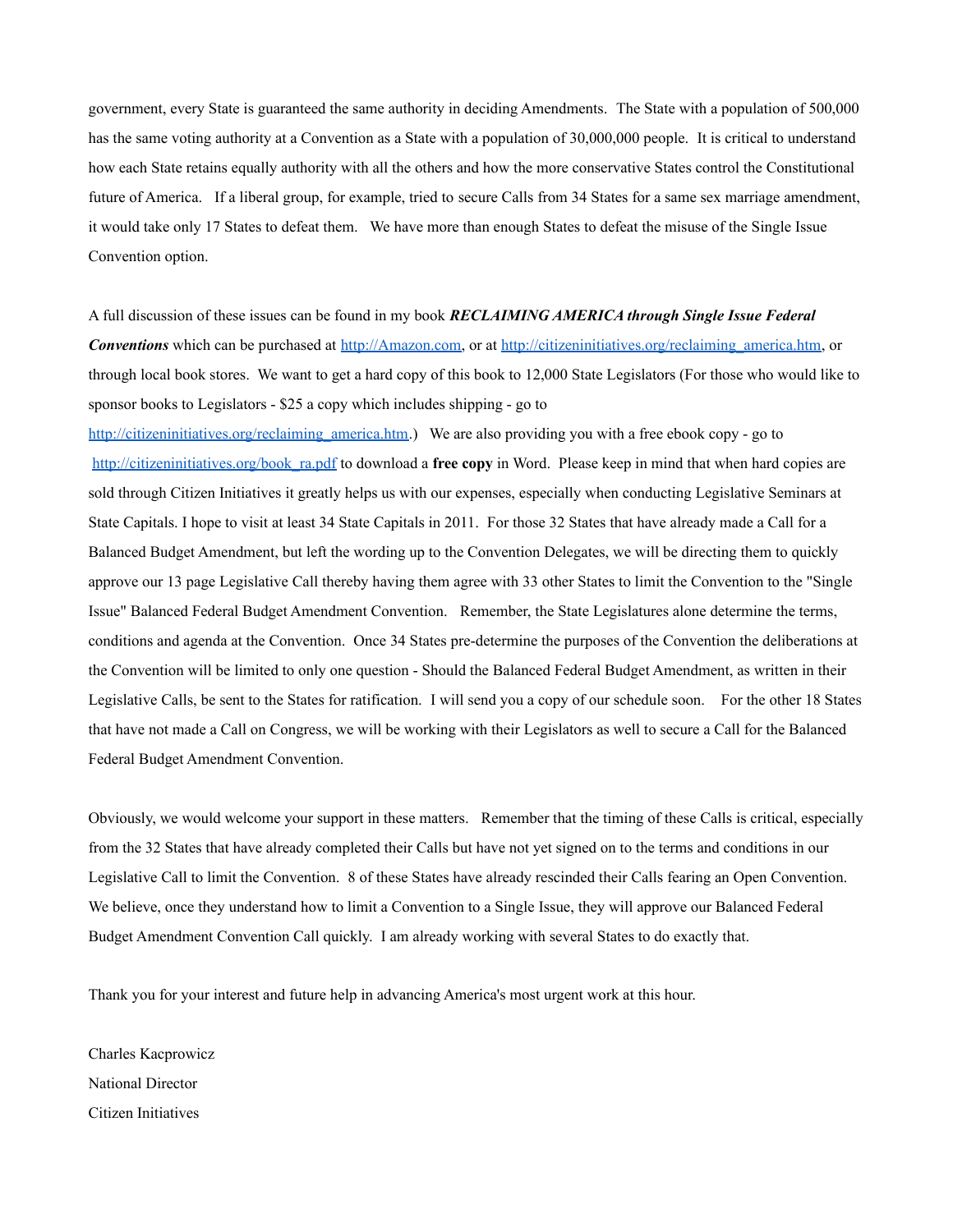government, every State is guaranteed the same authority in deciding Amendments. The State with a population of 500,000 has the same voting authority at a Convention as a State with a population of 30,000,000 people. It is critical to understand how each State retains equally authority with all the others and how the more conservative States control the Constitutional future of America. If a liberal group, for example, tried to secure Calls from 34 States for a same sex marriage amendment, it would take only 17 States to defeat them. We have more than enough States to defeat the misuse of the Single Issue Convention option.

A full discussion of these issues can be found in my book *RECLAIMING AMERICA through Single Issue Federal Conventions* which can be purchased at [http://Amazon.com,](http://amazon.com/) or at [http://citizeninitiatives.org/reclaiming\\_america.htm,](http://citizeninitiatives.org/reclaiming_america.htm) or through local book stores. We want to get a hard copy of this book to 12,000 State Legislators (For those who would like to sponsor books to Legislators - \$25 a copy which includes shipping - go to

[http://citizeninitiatives.org/reclaiming\\_america.htm.](http://citizeninitiatives.org/reclaiming_america.htm)) We are also providing you with a free ebook copy - go to [http://citizeninitiatives.org/book\\_ra.pdf](http://citizeninitiatives.org/book_ra.pdf) to download a **free copy** in Word. Please keep in mind that when hard copies are sold through Citizen Initiatives it greatly helps us with our expenses, especially when conducting Legislative Seminars at State Capitals. I hope to visit at least 34 State Capitals in 2011. For those 32 States that have already made a Call for a Balanced Budget Amendment, but left the wording up to the Convention Delegates, we will be directing them to quickly approve our 13 page Legislative Call thereby having them agree with 33 other States to limit the Convention to the "Single Issue" Balanced Federal Budget Amendment Convention. Remember, the State Legislatures alone determine the terms, conditions and agenda at the Convention. Once 34 States pre-determine the purposes of the Convention the deliberations at the Convention will be limited to only one question - Should the Balanced Federal Budget Amendment, as written in their Legislative Calls, be sent to the States for ratification. I will send you a copy of our schedule soon. For the other 18 States that have not made a Call on Congress, we will be working with their Legislators as well to secure a Call for the Balanced Federal Budget Amendment Convention.

Obviously, we would welcome your support in these matters. Remember that the timing of these Calls is critical, especially from the 32 States that have already completed their Calls but have not yet signed on to the terms and conditions in our Legislative Call to limit the Convention. 8 of these States have already rescinded their Calls fearing an Open Convention. We believe, once they understand how to limit a Convention to a Single Issue, they will approve our Balanced Federal Budget Amendment Convention Call quickly. I am already working with several States to do exactly that.

Thank you for your interest and future help in advancing America's most urgent work at this hour.

Charles Kacprowicz National Director Citizen Initiatives